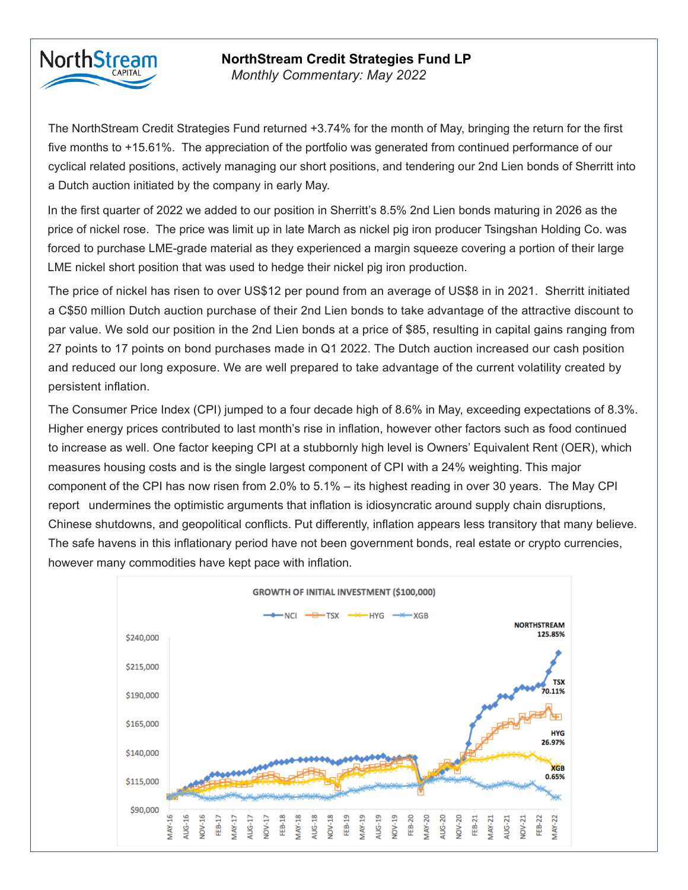## **NorthStream Credit Strategies Fund LP**

*Monthly Commentary: May 2022* 

NorthStream

The NorthStream Credit Strategies Fund returned 0.86% for the month of September, as we continued to The NorthStream Credit Strategies Fund returned +3.74% for the month of May, bringing the return for the first five months to +15.61%. The appreciation of the portfolio was generated from continued performance of our cyclical related positions, actively managing our short positions, and tendering our 2nd Lien bonds of Sherritt into a Dutch auction initiated by the company in early May. amortize bond premiums.

price of nickel rose. The price was limit up in late March as nickel pig iron producer Tsingshan Holding Co. was  $t_{\rm{reco}}$  three BB-rated names that reached our price targets. The price targets of  $\sigma$  positions of their large premiums to the contrading  $\sigma$ forced to purchase LME-grade material as they experienced a margin squeeze covering a portion of their large i<br>. LME nickel short position that was used to hedge their nickel pig iron production. In the first quarter of 2022 we added to our position in Sherritt's 8.5% 2nd Lien bonds maturing in 2026 as the

Our position position position of the flexibility to take advantage of edge in the flexibility opportunities. a C\$50 million Dutch auction purchase of their 2nd Lien bonds to take advantage of the attractive discount to par value. We sold our position in the 2nd Lien bonds at a price of \$85, resulting in capital gains ranging from 27 points to 17 points on bond purchases made in Q1 2022. The Dutch auction increased our cash position companies look to take a dvantage of current favourable financing conditions and locations and lock in a financi and reduced our long exposure. We are well prepared to take advantage of the current volatility created by The price of nickel has risen to over US\$12 per pound from an average of US\$8 in in 2021. Sherritt initiated persistent inflation.

The Consumer Price Index (CPI) jumped to a four decade high of 8.6% in May, exceeding expectations of 8.3%. positions comparisons comprised 68% of the performance of the performance, respectively in the performance of the performance on the performance of the performance of the performance of the performance of the performance o Higher energy prices contributed to last month's rise in inflation, however other factors such as food continued to increase as well. One factor keeping CPI at a stubbornly high level is Owners' Equivalent Rent (OER), which measures housing costs and is the single largest component of CPI with a 24% weighting. This major component of the CPI has now risen from 2.0% to 5.1% – its highest reading in over 30 years. The May CPI report undermines the optimistic arguments that inflation is idiosyncratic around supply chain disruptions, Chinese shutdowns, and geopolitical conflicts. Put differently, inflation appears less transitory that many believe. The safe havens in this inflationary period have not been government bonds, real estate or crypto currencies, however many commodities have kept pace with inflation.